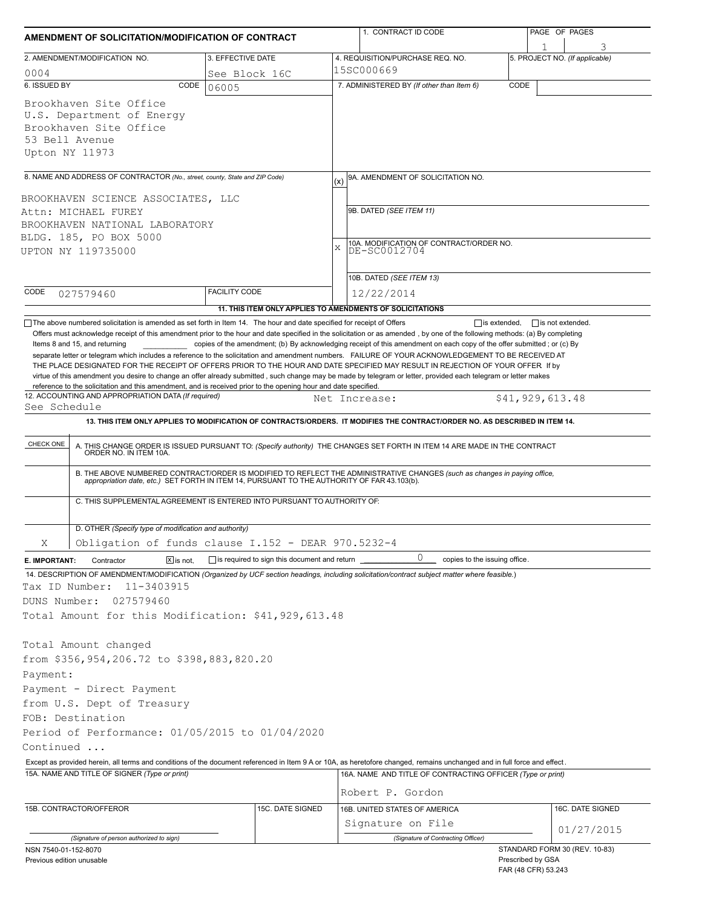|                                                       | AMENDMENT OF SOLICITATION/MODIFICATION OF CONTRACT                                                                                                                     |                                                           |     | 1. CONTRACT ID CODE                                                                                                                                                                                                   |      | PAGE OF PAGES                            |                                |  |
|-------------------------------------------------------|------------------------------------------------------------------------------------------------------------------------------------------------------------------------|-----------------------------------------------------------|-----|-----------------------------------------------------------------------------------------------------------------------------------------------------------------------------------------------------------------------|------|------------------------------------------|--------------------------------|--|
|                                                       | 2. AMENDMENT/MODIFICATION NO.                                                                                                                                          | 3. EFFECTIVE DATE                                         |     | 4. REQUISITION/PURCHASE REQ. NO.                                                                                                                                                                                      |      |                                          | 5. PROJECT NO. (If applicable) |  |
| 0004                                                  |                                                                                                                                                                        | See Block 16C                                             |     | 15SC000669                                                                                                                                                                                                            |      |                                          |                                |  |
| 6. ISSUED BY                                          | CODE                                                                                                                                                                   | 06005                                                     |     | 7. ADMINISTERED BY (If other than Item 6)                                                                                                                                                                             | CODE |                                          |                                |  |
|                                                       | Brookhaven Site Office<br>U.S. Department of Energy<br>Brookhaven Site Office<br>53 Bell Avenue<br>Upton NY 11973                                                      |                                                           |     |                                                                                                                                                                                                                       |      |                                          |                                |  |
|                                                       | 8. NAME AND ADDRESS OF CONTRACTOR (No., street, county, State and ZIP Code)                                                                                            |                                                           | (x) | 9A. AMENDMENT OF SOLICITATION NO.                                                                                                                                                                                     |      |                                          |                                |  |
|                                                       | BROOKHAVEN SCIENCE ASSOCIATES, LLC                                                                                                                                     |                                                           |     |                                                                                                                                                                                                                       |      |                                          |                                |  |
|                                                       | Attn: MICHAEL FUREY                                                                                                                                                    |                                                           |     | 9B. DATED (SEE ITEM 11)                                                                                                                                                                                               |      |                                          |                                |  |
|                                                       | BROOKHAVEN NATIONAL LABORATORY                                                                                                                                         |                                                           |     |                                                                                                                                                                                                                       |      |                                          |                                |  |
|                                                       | BLDG. 185, PO BOX 5000                                                                                                                                                 |                                                           |     | 10A. MODIFICATION OF CONTRACT/ORDER NO.                                                                                                                                                                               |      |                                          |                                |  |
|                                                       | UPTON NY 119735000                                                                                                                                                     |                                                           |     | $\mathbf x$<br>DE-SC0012704                                                                                                                                                                                           |      |                                          |                                |  |
|                                                       |                                                                                                                                                                        |                                                           |     |                                                                                                                                                                                                                       |      |                                          |                                |  |
| CODE                                                  |                                                                                                                                                                        | <b>FACILITY CODE</b>                                      |     | 10B. DATED (SEE ITEM 13)                                                                                                                                                                                              |      |                                          |                                |  |
|                                                       | 027579460                                                                                                                                                              |                                                           |     | 12/22/2014                                                                                                                                                                                                            |      |                                          |                                |  |
|                                                       | The above numbered solicitation is amended as set forth in Item 14. The hour and date specified for receipt of Offers                                                  | 11. THIS ITEM ONLY APPLIES TO AMENDMENTS OF SOLICITATIONS |     | $\Box$ is extended.                                                                                                                                                                                                   |      | $\Box$ is not extended.                  |                                |  |
| See Schedule                                          | reference to the solicitation and this amendment, and is received prior to the opening hour and date specified.<br>12. ACCOUNTING AND APPROPRIATION DATA (If required) |                                                           |     | virtue of this amendment you desire to change an offer already submitted, such change may be made by telegram or letter, provided each telegram or letter makes<br>Net Increase:                                      |      | \$41,929,613.48                          |                                |  |
|                                                       |                                                                                                                                                                        |                                                           |     | 13. THIS ITEM ONLY APPLIES TO MODIFICATION OF CONTRACTS/ORDERS. IT MODIFIES THE CONTRACT/ORDER NO. AS DESCRIBED IN ITEM 14.                                                                                           |      |                                          |                                |  |
| CHECK ONE                                             |                                                                                                                                                                        |                                                           |     |                                                                                                                                                                                                                       |      |                                          |                                |  |
|                                                       |                                                                                                                                                                        |                                                           |     | A. THIS CHANGE ORDER IS ISSUED PURSUANT TO: (Specify authority) THE CHANGES SET FORTH IN ITEM 14 ARE MADE IN THE CONTRACT ORDER NO. IN ITEM 10A.                                                                      |      |                                          |                                |  |
|                                                       |                                                                                                                                                                        |                                                           |     | B. THE ABOVE NUMBERED CONTRACT/ORDER IS MODIFIED TO REFLECT THE ADMINISTRATIVE CHANGES (such as changes in paying office, appropriation date, etc.) SET FORTH IN ITEM 14, PURSUANT TO THE AUTHORITY OF FAR 43.103(b). |      |                                          |                                |  |
|                                                       | C. THIS SUPPLEMENTAL AGREEMENT IS ENTERED INTO PURSUANT TO AUTHORITY OF:                                                                                               |                                                           |     |                                                                                                                                                                                                                       |      |                                          |                                |  |
| D. OTHER (Specify type of modification and authority) |                                                                                                                                                                        |                                                           |     |                                                                                                                                                                                                                       |      |                                          |                                |  |
| Χ                                                     | Obligation of funds clause I.152 - DEAR 970.5232-4                                                                                                                     |                                                           |     |                                                                                                                                                                                                                       |      |                                          |                                |  |
|                                                       | $ \overline{x} $ is not.                                                                                                                                               |                                                           |     | 0                                                                                                                                                                                                                     |      |                                          |                                |  |
| E. IMPORTANT:                                         | Contractor                                                                                                                                                             | $\Box$ is required to sign this document and return       |     | copies to the issuing office.<br>14. DESCRIPTION OF AMENDMENT/MODIFICATION (Organized by UCF section headings, including solicitation/contract subject matter where feasible.)                                        |      |                                          |                                |  |
| Tax ID Number:                                        | 11-3403915                                                                                                                                                             |                                                           |     |                                                                                                                                                                                                                       |      |                                          |                                |  |
| DUNS Number:                                          | 027579460                                                                                                                                                              |                                                           |     |                                                                                                                                                                                                                       |      |                                          |                                |  |
|                                                       | Total Amount for this Modification: \$41,929,613.48                                                                                                                    |                                                           |     |                                                                                                                                                                                                                       |      |                                          |                                |  |
|                                                       |                                                                                                                                                                        |                                                           |     |                                                                                                                                                                                                                       |      |                                          |                                |  |
|                                                       | Total Amount changed                                                                                                                                                   |                                                           |     |                                                                                                                                                                                                                       |      |                                          |                                |  |
|                                                       | from \$356,954,206.72 to \$398,883,820.20                                                                                                                              |                                                           |     |                                                                                                                                                                                                                       |      |                                          |                                |  |
| Payment:                                              | Payment - Direct Payment                                                                                                                                               |                                                           |     |                                                                                                                                                                                                                       |      |                                          |                                |  |
|                                                       | from U.S. Dept of Treasury                                                                                                                                             |                                                           |     |                                                                                                                                                                                                                       |      |                                          |                                |  |
|                                                       | FOB: Destination                                                                                                                                                       |                                                           |     |                                                                                                                                                                                                                       |      |                                          |                                |  |
|                                                       | Period of Performance: 01/05/2015 to 01/04/2020                                                                                                                        |                                                           |     |                                                                                                                                                                                                                       |      |                                          |                                |  |
| Continued                                             |                                                                                                                                                                        |                                                           |     |                                                                                                                                                                                                                       |      |                                          |                                |  |
|                                                       |                                                                                                                                                                        |                                                           |     | Except as provided herein, all terms and conditions of the document referenced in Item 9 A or 10A, as heretofore changed, remains unchanged and in full force and effect.                                             |      |                                          |                                |  |
|                                                       | 15A. NAME AND TITLE OF SIGNER (Type or print)                                                                                                                          |                                                           |     | 16A. NAME AND TITLE OF CONTRACTING OFFICER (Type or print)                                                                                                                                                            |      |                                          |                                |  |
|                                                       |                                                                                                                                                                        |                                                           |     | Robert P. Gordon                                                                                                                                                                                                      |      |                                          |                                |  |
|                                                       | 15B. CONTRACTOR/OFFEROR                                                                                                                                                | 15C. DATE SIGNED                                          |     | 16B. UNITED STATES OF AMERICA                                                                                                                                                                                         |      |                                          | 16C. DATE SIGNED               |  |
|                                                       |                                                                                                                                                                        |                                                           |     | Signature on File                                                                                                                                                                                                     |      |                                          |                                |  |
|                                                       | (Signature of person authorized to sign)                                                                                                                               |                                                           |     | (Signature of Contracting Officer)                                                                                                                                                                                    |      |                                          | 01/27/2015                     |  |
| NSN 7540-01-152-8070                                  |                                                                                                                                                                        |                                                           |     |                                                                                                                                                                                                                       |      |                                          | STANDARD FORM 30 (REV. 10-83)  |  |
| Previous edition unusable                             |                                                                                                                                                                        |                                                           |     |                                                                                                                                                                                                                       |      | Prescribed by GSA<br>FAR (48 CFR) 53.243 |                                |  |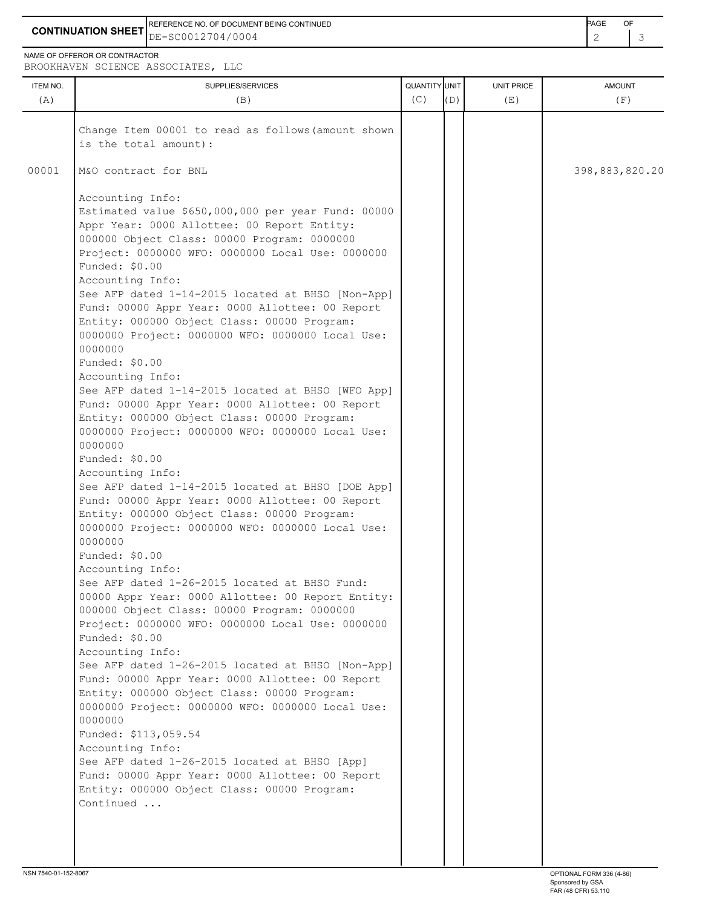**CONTINUATION SHEET** DE-SC0012704/0004 2 3 REFERENCE NO. OF DOCUMENT BEING CONTINUED **Example 2008** PAGE OF

NAME OF OFFEROR OR CONTRACTOR

BROOKHAVEN SCIENCE ASSOCIATES, LLC

| Change Item 00001 to read as follows (amount shown<br>is the total amount):                                                                                                                                                                                                                                                                                                                                                                                                                                                                                                                                                                                                                                                                                                                                                                                                                                                                                                                                                                                                                                                                                                                                                                                                                                                                                                                                                                                                                                                                                                                                                                                             |  |                |
|-------------------------------------------------------------------------------------------------------------------------------------------------------------------------------------------------------------------------------------------------------------------------------------------------------------------------------------------------------------------------------------------------------------------------------------------------------------------------------------------------------------------------------------------------------------------------------------------------------------------------------------------------------------------------------------------------------------------------------------------------------------------------------------------------------------------------------------------------------------------------------------------------------------------------------------------------------------------------------------------------------------------------------------------------------------------------------------------------------------------------------------------------------------------------------------------------------------------------------------------------------------------------------------------------------------------------------------------------------------------------------------------------------------------------------------------------------------------------------------------------------------------------------------------------------------------------------------------------------------------------------------------------------------------------|--|----------------|
|                                                                                                                                                                                                                                                                                                                                                                                                                                                                                                                                                                                                                                                                                                                                                                                                                                                                                                                                                                                                                                                                                                                                                                                                                                                                                                                                                                                                                                                                                                                                                                                                                                                                         |  |                |
| 00001<br>M&O contract for BNL                                                                                                                                                                                                                                                                                                                                                                                                                                                                                                                                                                                                                                                                                                                                                                                                                                                                                                                                                                                                                                                                                                                                                                                                                                                                                                                                                                                                                                                                                                                                                                                                                                           |  | 398,883,820.20 |
| Accounting Info:<br>Estimated value \$650,000,000 per year Fund: 00000<br>Appr Year: 0000 Allottee: 00 Report Entity:<br>000000 Object Class: 00000 Program: 0000000<br>Project: 0000000 WFO: 0000000 Local Use: 0000000<br>Funded: \$0.00<br>Accounting Info:<br>See AFP dated 1-14-2015 located at BHSO [Non-App]<br>Fund: 00000 Appr Year: 0000 Allottee: 00 Report<br>Entity: 000000 Object Class: 00000 Program:<br>0000000 Project: 0000000 WFO: 0000000 Local Use:<br>0000000<br>Funded: \$0.00<br>Accounting Info:<br>See AFP dated 1-14-2015 located at BHSO [WFO App]<br>Fund: 00000 Appr Year: 0000 Allottee: 00 Report<br>Entity: 000000 Object Class: 00000 Program:<br>0000000 Project: 0000000 WFO: 0000000 Local Use:<br>0000000<br>Funded: \$0.00<br>Accounting Info:<br>See AFP dated 1-14-2015 located at BHSO [DOE App]<br>Fund: 00000 Appr Year: 0000 Allottee: 00 Report<br>Entity: 000000 Object Class: 00000 Program:<br>0000000 Project: 0000000 WFO: 0000000 Local Use:<br>0000000<br>Funded: \$0.00<br>Accounting Info:<br>See AFP dated 1-26-2015 located at BHSO Fund:<br>00000 Appr Year: 0000 Allottee: 00 Report Entity:<br>000000 Object Class: 00000 Program: 0000000<br>Project: 0000000 WFO: 0000000 Local Use: 0000000<br>Funded: \$0.00<br>Accounting Info:<br>See AFP dated 1-26-2015 located at BHSO [Non-App]<br>Fund: 00000 Appr Year: 0000 Allottee: 00 Report<br>Entity: 000000 Object Class: 00000 Program:<br>0000000 Project: 0000000 WFO: 0000000 Local Use:<br>0000000<br>Funded: \$113,059.54<br>Accounting Info:<br>See AFP dated 1-26-2015 located at BHSO [App]<br>Fund: 00000 Appr Year: 0000 Allottee: 00 Report |  |                |